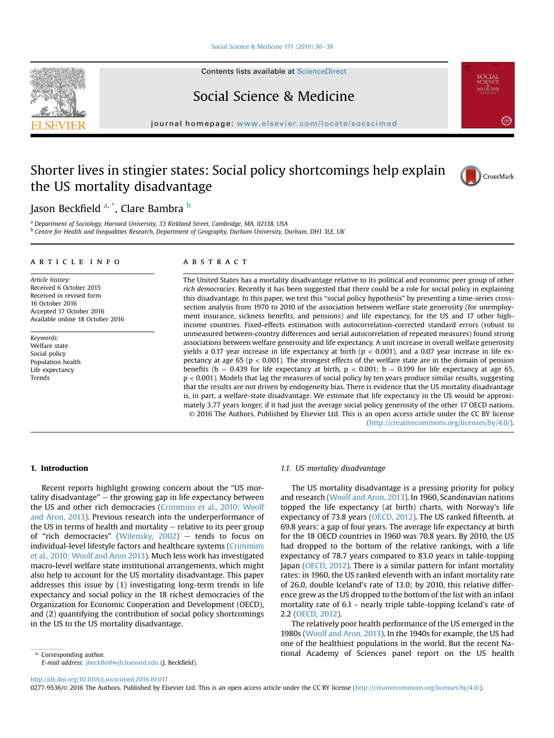#### [Social Science & Medicine 171 \(2016\) 30](http://dx.doi.org/10.1016/j.socscimed.2016.10.017)-[38](http://dx.doi.org/10.1016/j.socscimed.2016.10.017)

Contents lists available at [ScienceDirect](www.sciencedirect.com/science/journal/02779536)

# Social Science & Medicine

journal homepage: [www.elsevier.com/locate/socscimed](http://www.elsevier.com/locate/socscimed)

## Shorter lives in stingier states: Social policy shortcomings help explain the US mortality disadvantage

Jason Beckfield <sup>a, \*</sup>, Clare Bambra <sup>b</sup>

<sup>a</sup> Department of Sociology, Harvard University, 33 Kirkland Street, Cambridge, MA, 02138, USA <sup>b</sup> Centre for Health and Inequalities Research, Department of Geography, Durham University, Durham, DH1 3LE, UK

#### article info

Article history: Received 6 October 2015 Received in revised form 16 October 2016 Accepted 17 October 2016 Available online 18 October 2016

Keywords: Welfare state Social policy Population health Life expectancy **Trends** 

#### ABSTRACT

The United States has a mortality disadvantage relative to its political and economic peer group of other rich democracies. Recently it has been suggested that there could be a role for social policy in explaining this disadvantage. In this paper, we test this "social policy hypothesis" by presenting a time-series crosssection analysis from 1970 to 2010 of the association between welfare state generosity (for unemployment insurance, sickness benefits, and pensions) and life expectancy, for the US and 17 other highincome countries. Fixed-effects estimation with autocorrelation-corrected standard errors (robust to unmeasured between-country differences and serial autocorrelation of repeated measures) found strong associations between welfare generosity and life expectancy. A unit increase in overall welfare generosity yields a 0.17 year increase in life expectancy at birth ( $p < 0.001$ ), and a 0.07 year increase in life expectancy at age 65 ( $p < 0.001$ ). The strongest effects of the welfare state are in the domain of pension benefits (b = 0.439 for life expectancy at birth, p < 0.001; b = 0.199 for life expectancy at age 65, p < 0.001). Models that lag the measures of social policy by ten years produce similar results, suggesting that the results are not driven by endogeneity bias. There is evidence that the US mortality disadvantage is, in part, a welfare-state disadvantage. We estimate that life expectancy in the US would be approximately 3.77 years longer, if it had just the average social policy generosity of the other 17 OECD nations. © 2016 The Authors. Published by Elsevier Ltd. This is an open access article under the CC BY license [\(http://creativecommons.org/licenses/by/4.0/](http://creativecommons.org/licenses/by/4.0/)).

### 1. Introduction

Recent reports highlight growing concern about the "US mortality disadvantage"  $-$  the growing gap in life expectancy between the US and other rich democracies [\(Crimmins et al., 2010; Woolf](#page-8-0) [and Aron, 2013](#page-8-0)). Previous research into the underperformance of the US in terms of health and mortality  $-$  relative to its peer group of "rich democracies" (Wilensky,  $2002$ ) – tends to focus on individual-level lifestyle factors and healthcare systems ([Crimmins](#page-8-0) [et al., 2010; Woolf and Aron 2013](#page-8-0)). Much less work has investigated macro-level welfare state institutional arrangements, which might also help to account for the US mortality disadvantage. This paper addresses this issue by (1) investigating long-term trends in life expectancy and social policy in the 18 richest democracies of the Organization for Economic Cooperation and Development (OECD), and (2) quantifying the contribution of social policy shortcomings in the US to the US mortality disadvantage.

## 1.1. US mortality disadvantage

The US mortality disadvantage is a pressing priority for policy and research [\(Woolf and Aron, 2013](#page-8-0)). In 1960, Scandinavian nations topped the life expectancy (at birth) charts, with Norway's life expectancy of 73.8 years ([OECD, 2012\)](#page-8-0). The US ranked fifteenth, at 69.8 years: a gap of four years. The average life expectancy at birth for the 18 OECD countries in 1960 was 70.8 years. By 2010, the US had dropped to the bottom of the relative rankings, with a life expectancy of 78.7 years compared to 83.0 years in table-topping Japan [\(OECD, 2012\)](#page-8-0). There is a similar pattern for infant mortality rates: in 1960, the US ranked eleventh with an infant mortality rate of 26.0, double Iceland's rate of 13.0; by 2010, this relative difference grew as the US dropped to the bottom of the list with an infant mortality rate of 6.1 - nearly triple table-topping Iceland's rate of 2.2 ([OECD, 2012\)](#page-8-0).

The relatively poor health performance of the US emerged in the 1980s ([Woolf and Aron, 2013\)](#page-8-0). In the 1940s for example, the US had one of the healthiest populations in the world. But the recent Na- \* Corresponding author. tional Academy of Sciences panel report on the US health

<http://dx.doi.org/10.1016/j.socscimed.2016.10.017>

E-mail address: jbeckfi[e@wjh.harvard.edu](mailto:jbeckfie@wjh.harvard.edu) (J. Beckfield).

0277-9536/© 2016 The Authors. Published by Elsevier Ltd. This is an open access article under the CC BY license [\(http://creativecommons.org/licenses/by/4.0/\)](http://creativecommons.org/licenses/by/4.0/).





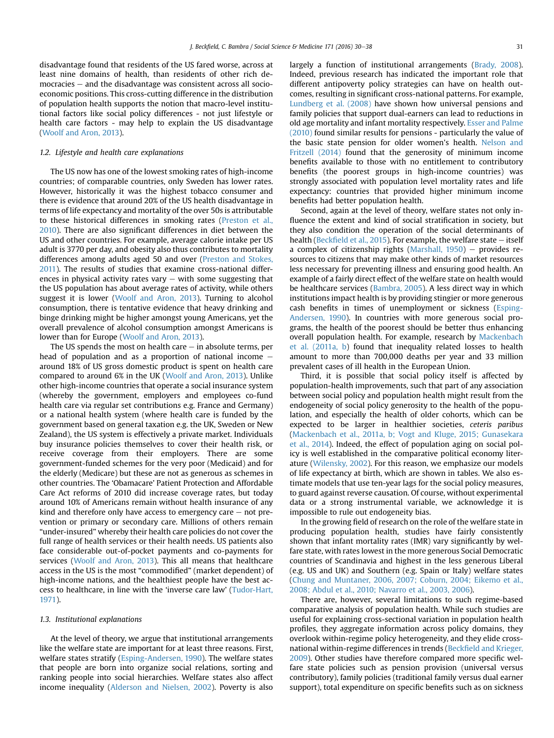disadvantage found that residents of the US fared worse, across at least nine domains of health, than residents of other rich de $m$ ocracies  $-$  and the disadvantage was consistent across all socioeconomic positions. This cross-cutting difference in the distribution of population health supports the notion that macro-level institutional factors like social policy differences - not just lifestyle or health care factors - may help to explain the US disadvantage ([Woolf and Aron, 2013](#page-8-0)).

### 1.2. Lifestyle and health care explanations

The US now has one of the lowest smoking rates of high-income countries; of comparable countries, only Sweden has lower rates. However, historically it was the highest tobacco consumer and there is evidence that around 20% of the US health disadvantage in terms of life expectancy and mortality of the over 50s is attributable to these historical differences in smoking rates ([Preston et al.,](#page-8-0) [2010\)](#page-8-0). There are also significant differences in diet between the US and other countries. For example, average calorie intake per US adult is 3770 per day, and obesity also thus contributes to mortality differences among adults aged 50 and over ([Preston and Stokes,](#page-8-0) [2011](#page-8-0)). The results of studies that examine cross-national differences in physical activity rates vary  $-$  with some suggesting that the US population has about average rates of activity, while others suggest it is lower ([Woolf and Aron, 2013\)](#page-8-0). Turning to alcohol consumption, there is tentative evidence that heavy drinking and binge drinking might be higher amongst young Americans, yet the overall prevalence of alcohol consumption amongst Americans is lower than for Europe ([Woolf and Aron, 2013\)](#page-8-0).

The US spends the most on health care  $-$  in absolute terms, per head of population and as a proportion of national income  $$ around 18% of US gross domestic product is spent on health care compared to around 6% in the UK ([Woolf and Aron, 2013\)](#page-8-0). Unlike other high-income countries that operate a social insurance system (whereby the government, employers and employees co-fund health care via regular set contributions e.g. France and Germany) or a national health system (where health care is funded by the government based on general taxation e.g. the UK, Sweden or New Zealand), the US system is effectively a private market. Individuals buy insurance policies themselves to cover their health risk, or receive coverage from their employers. There are some government-funded schemes for the very poor (Medicaid) and for the elderly (Medicare) but these are not as generous as schemes in other countries. The 'Obamacare' Patient Protection and Affordable Care Act reforms of 2010 did increase coverage rates, but today around 10% of Americans remain without health insurance of any kind and therefore only have access to emergency care  $-$  not prevention or primary or secondary care. Millions of others remain "under-insured" whereby their health care policies do not cover the full range of health services or their health needs. US patients also face considerable out-of-pocket payments and co-payments for services [\(Woolf and Aron, 2013\)](#page-8-0). This all means that healthcare access in the US is the most "commodified" (market dependent) of high-income nations, and the healthiest people have the best access to healthcare, in line with the 'inverse care law' ([Tudor-Hart,](#page-8-0) [1971\)](#page-8-0).

#### 1.3. Institutional explanations

At the level of theory, we argue that institutional arrangements like the welfare state are important for at least three reasons. First, welfare states stratify [\(Esping-Andersen, 1990\)](#page-8-0). The welfare states that people are born into organize social relations, sorting and ranking people into social hierarchies. Welfare states also affect income inequality ([Alderson and Nielsen, 2002](#page-7-0)). Poverty is also largely a function of institutional arrangements [\(Brady, 2008\)](#page-7-0). Indeed, previous research has indicated the important role that different antipoverty policy strategies can have on health outcomes, resulting in significant cross-national patterns. For example, [Lundberg et al. \(2008\)](#page-8-0) have shown how universal pensions and family policies that support dual-earners can lead to reductions in old age mortality and infant mortality respectively. [Esser and Palme](#page-8-0) [\(2010\)](#page-8-0) found similar results for pensions - particularly the value of the basic state pension for older women's health. [Nelson and](#page-8-0) [Fritzell \(2014\)](#page-8-0) found that the generosity of minimum income benefits available to those with no entitlement to contributory benefits (the poorest groups in high-income countries) was strongly associated with population level mortality rates and life expectancy: countries that provided higher minimum income benefits had better population health.

Second, again at the level of theory, welfare states not only influence the extent and kind of social stratification in society, but they also condition the operation of the social determinants of health (Beckfi[eld et al., 2015\)](#page-7-0). For example, the welfare state  $-$  itself a complex of citizenship rights (Marshall,  $1950$ ) – provides resources to citizens that may make other kinds of market resources less necessary for preventing illness and ensuring good health. An example of a fairly direct effect of the welfare state on health would be healthcare services [\(Bambra, 2005](#page-7-0)). A less direct way in which institutions impact health is by providing stingier or more generous cash benefits in times of unemployment or sickness [\(Esping-](#page-8-0)[Andersen, 1990](#page-8-0)). In countries with more generous social programs, the health of the poorest should be better thus enhancing overall population health. For example, research by [Mackenbach](#page-8-0) [et al. \(2011a, b\)](#page-8-0) found that inequality related losses to health amount to more than 700,000 deaths per year and 33 million prevalent cases of ill health in the European Union.

Third, it is possible that social policy itself is affected by population-health improvements, such that part of any association between social policy and population health might result from the endogeneity of social policy generosity to the health of the population, and especially the health of older cohorts, which can be expected to be larger in healthier societies, ceteris paribus ([Mackenbach et al., 2011a, b; Vogt and Kluge, 2015; Gunasekara](#page-8-0) [et al., 2014\)](#page-8-0). Indeed, the effect of population aging on social policy is well established in the comparative political economy literature ([Wilensky, 2002](#page-8-0)). For this reason, we emphasize our models of life expectancy at birth, which are shown in tables. We also estimate models that use ten-year lags for the social policy measures, to guard against reverse causation. Of course, without experimental data or a strong instrumental variable, we acknowledge it is impossible to rule out endogeneity bias.

In the growing field of research on the role of the welfare state in producing population health, studies have fairly consistently shown that infant mortality rates (IMR) vary significantly by welfare state, with rates lowest in the more generous Social Democratic countries of Scandinavia and highest in the less generous Liberal (e.g. US and UK) and Southern (e.g. Spain or Italy) welfare states ([Chung and Muntaner, 2006, 2007; Coburn, 2004; Eikemo et al.,](#page-7-0) [2008; Abdul et al., 2010; Navarro et al., 2003, 2006](#page-7-0)).

There are, however, several limitations to such regime-based comparative analysis of population health. While such studies are useful for explaining cross-sectional variation in population health profiles, they aggregate information across policy domains, they overlook within-regime policy heterogeneity, and they elide crossnational within-regime differences in trends (Beckfi[eld and Krieger,](#page-7-0) [2009\)](#page-7-0). Other studies have therefore compared more specific welfare state policies such as pension provision (universal versus contributory), family policies (traditional family versus dual earner support), total expenditure on specific benefits such as on sickness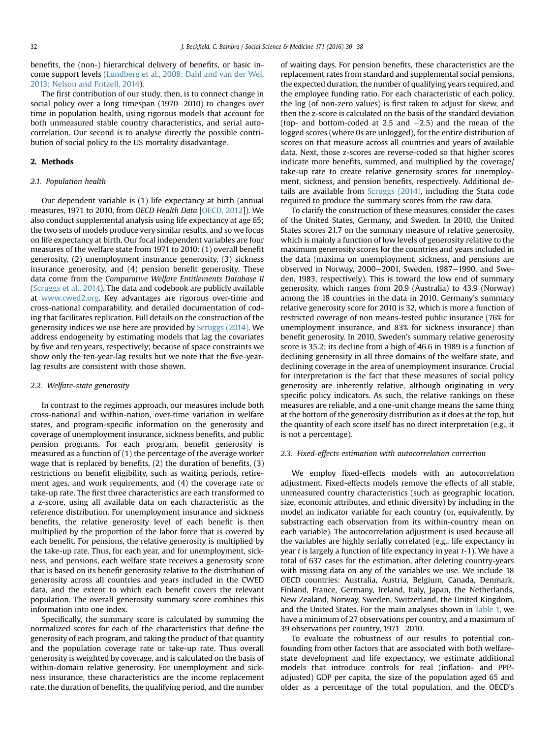benefits, the (non-) hierarchical delivery of benefits, or basic income support levels [\(Lundberg et al., 2008; Dahl and van der Wel,](#page-8-0) [2013; Nelson and Fritzell, 2014\)](#page-8-0).

The first contribution of our study, then, is to connect change in social policy over a long timespan (1970-2010) to changes over time in population health, using rigorous models that account for both unmeasured stable country characteristics, and serial autocorrelation. Our second is to analyse directly the possible contribution of social policy to the US mortality disadvantage.

#### 2. Methods

### 2.1. Population health

Our dependent variable is (1) life expectancy at birth (annual measures, 1971 to 2010, from OECD Health Data [\[OECD, 2012](#page-8-0)]). We also conduct supplemental analysis using life expectancy at age 65; the two sets of models produce very similar results, and so we focus on life expectancy at birth. Our focal independent variables are four measures of the welfare state from 1971 to 2010: (1) overall benefit generosity, (2) unemployment insurance generosity, (3) sickness insurance generosity, and (4) pension benefit generosity. These data come from the Comparative Welfare Entitlements Database II ([Scruggs et al., 2014\)](#page-8-0). The data and codebook are publicly available at [www.cwed2.org](http://www.cwed2.org). Key advantages are rigorous over-time and cross-national comparability, and detailed documentation of coding that facilitates replication. Full details on the construction of the generosity indices we use here are provided by [Scruggs \(2014\)](#page-8-0). We address endogeneity by estimating models that lag the covariates by five and ten years, respectively; because of space constraints we show only the ten-year-lag results but we note that the five-yearlag results are consistent with those shown.

### 2.2. Welfare-state generosity

In contrast to the regimes approach, our measures include both cross-national and within-nation, over-time variation in welfare states, and program-specific information on the generosity and coverage of unemployment insurance, sickness benefits, and public pension programs. For each program, benefit generosity is measured as a function of (1) the percentage of the average worker wage that is replaced by benefits, (2) the duration of benefits, (3) restrictions on benefit eligibility, such as waiting periods, retirement ages, and work requirements, and (4) the coverage rate or take-up rate. The first three characteristics are each transformed to a z-score, using all available data on each characteristic as the reference distribution. For unemployment insurance and sickness benefits, the relative generosity level of each benefit is then multiplied by the proportion of the labor force that is covered by each benefit. For pensions, the relative generosity is multiplied by the take-up rate. Thus, for each year, and for unemployment, sickness, and pensions, each welfare state receives a generosity score that is based on its benefit generosity relative to the distribution of generosity across all countries and years included in the CWED data, and the extent to which each benefit covers the relevant population. The overall generosity summary score combines this information into one index.

Specifically, the summary score is calculated by summing the normalized scores for each of the characteristics that define the generosity of each program, and taking the product of that quantity and the population coverage rate or take-up rate. Thus overall generosity is weighted by coverage, and is calculated on the basis of within-domain relative generosity. For unemployment and sickness insurance, these characteristics are the income replacement rate, the duration of benefits, the qualifying period, and the number of waiting days. For pension benefits, these characteristics are the replacement rates from standard and supplemental social pensions, the expected duration, the number of qualifying years required, and the employee funding ratio. For each characteristic of each policy, the log (of non-zero values) is first taken to adjust for skew, and then the z-score is calculated on the basis of the standard deviation (top- and bottom-coded at 2.5 and -2.5) and the mean of the logged scores (where 0s are unlogged), for the entire distribution of scores on that measure across all countries and years of available data. Next, those z-scores are reverse-coded so that higher scores indicate more benefits, summed, and multiplied by the coverage/ take-up rate to create relative generosity scores for unemployment, sickness, and pension benefits, respectively. Additional details are available from [Scruggs \(2014\)](#page-8-0), including the Stata code required to produce the summary scores from the raw data.

To clarify the construction of these measures, consider the cases of the United States, Germany, and Sweden. In 2010, the United States scores 21.7 on the summary measure of relative generosity, which is mainly a function of low levels of generosity relative to the maximum generosity scores for the countries and years included in the data (maxima on unemployment, sickness, and pensions are observed in Norway,  $2000-2001$ , Sweden, 1987 $-1990$ , and Sweden, 1983, respectively). This is toward the low end of summary generosity, which ranges from 20.9 (Australia) to 43.9 (Norway) among the 18 countries in the data in 2010. Germany's summary relative generosity score for 2010 is 32, which is more a function of restricted coverage of non means-tested public insurance (76% for unemployment insurance, and 83% for sickness insurance) than benefit generosity. In 2010, Sweden's summary relative generosity score is 35.2; its decline from a high of 46.6 in 1989 is a function of declining generosity in all three domains of the welfare state, and declining coverage in the area of unemployment insurance. Crucial for interpretation is the fact that these measures of social policy generosity are inherently relative, although originating in very specific policy indicators. As such, the relative rankings on these measures are reliable, and a one-unit change means the same thing at the bottom of the generosity distribution as it does at the top, but the quantity of each score itself has no direct interpretation (e.g., it is not a percentage).

#### 2.3. Fixed-effects estimation with autocorrelation correction

We employ fixed-effects models with an autocorrelation adjustment. Fixed-effects models remove the effects of all stable, unmeasured country characteristics (such as geographic location, size, economic attributes, and ethnic diversity) by including in the model an indicator variable for each country (or, equivalently, by substracting each observation from its within-country mean on each variable). The autocorrelation adjustment is used because all the variables are highly serially correlated (e.g., life expectancy in year t is largely a function of life expectancy in year t-1). We have a total of 637 cases for the estimation, after deleting country-years with missing data on any of the variables we use. We include 18 OECD countries: Australia, Austria, Belgium, Canada, Denmark, Finland, France, Germany, Ireland, Italy, Japan, the Netherlands, New Zealand, Norway, Sweden, Switzerland, the United Kingdom, and the United States. For the main analyses shown in [Table 1,](#page-3-0) we have a minimum of 27 observations per country, and a maximum of 39 observations per country, 1971-2010.

To evaluate the robustness of our results to potential confounding from other factors that are associated with both welfarestate development and life expectancy, we estimate additional models that introduce controls for real (inflation- and PPPadjusted) GDP per capita, the size of the population aged 65 and older as a percentage of the total population, and the OECD's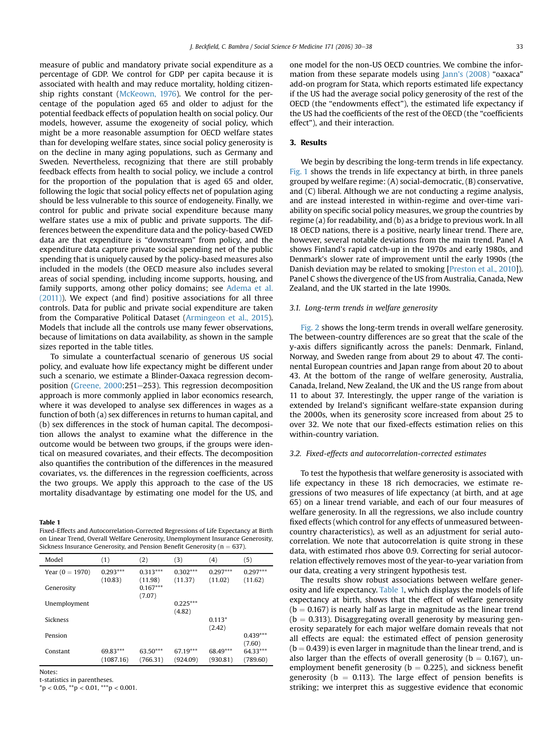<span id="page-3-0"></span>measure of public and mandatory private social expenditure as a percentage of GDP. We control for GDP per capita because it is associated with health and may reduce mortality, holding citizenship rights constant [\(McKeown, 1976\)](#page-8-0). We control for the percentage of the population aged 65 and older to adjust for the potential feedback effects of population health on social policy. Our models, however, assume the exogeneity of social policy, which might be a more reasonable assumption for OECD welfare states than for developing welfare states, since social policy generosity is on the decline in many aging populations, such as Germany and Sweden. Nevertheless, recognizing that there are still probably feedback effects from health to social policy, we include a control for the proportion of the population that is aged 65 and older, following the logic that social policy effects net of population aging should be less vulnerable to this source of endogeneity. Finally, we control for public and private social expenditure because many welfare states use a mix of public and private supports. The differences between the expenditure data and the policy-based CWED data are that expenditure is "downstream" from policy, and the expenditure data capture private social spending net of the public spending that is uniquely caused by the policy-based measures also included in the models (the OECD measure also includes several areas of social spending, including income supports, housing, and family supports, among other policy domains; see [Adema et al.](#page-7-0) [\(2011\)](#page-7-0)). We expect (and find) positive associations for all three controls. Data for public and private social expenditure are taken from the Comparative Political Dataset ([Armingeon et al., 2015\)](#page-7-0). Models that include all the controls use many fewer observations, because of limitations on data availability, as shown in the sample sizes reported in the table titles.

To simulate a counterfactual scenario of generous US social policy, and evaluate how life expectancy might be different under such a scenario, we estimate a Blinder-Oaxaca regression decom-position ([Greene, 2000](#page-8-0):251-253). This regression decomposition approach is more commonly applied in labor economics research, where it was developed to analyse sex differences in wages as a function of both (a) sex differences in returns to human capital, and (b) sex differences in the stock of human capital. The decomposition allows the analyst to examine what the difference in the outcome would be between two groups, if the groups were identical on measured covariates, and their effects. The decomposition also quantifies the contribution of the differences in the measured covariates, vs. the differences in the regression coefficients, across the two groups. We apply this approach to the case of the US mortality disadvantage by estimating one model for the US, and

#### Table 1

Fixed-Effects and Autocorrelation-Corrected Regressions of Life Expectancy at Birth on Linear Trend, Overall Welfare Generosity, Unemployment Insurance Generosity, Sickness Insurance Generosity, and Pension Benefit Generosity ( $n = 637$ ).

| Model             | (1)                   | (2)                             | (3)                  | (4)                  | (5)                            |
|-------------------|-----------------------|---------------------------------|----------------------|----------------------|--------------------------------|
| Year $(0 = 1970)$ | $0.293***$            | $0.313***$                      | $0.302***$           | $0.297***$           | $0.297***$                     |
| Generosity        | (10.83)               | (11.98)<br>$0.167***$<br>(7.07) | (11.37)              | (11.02)              | (11.62)                        |
| Unemployment      |                       |                                 | $0.225***$           |                      |                                |
| <b>Sickness</b>   |                       |                                 | (4.82)               | $0.113*$<br>(2.42)   |                                |
| Pension           |                       |                                 |                      |                      | $0.439***$                     |
| Constant          | 69.83***<br>(1087.16) | 63.50***<br>(766.31)            | 67.19***<br>(924.09) | 68.49***<br>(930.81) | (7.60)<br>64.33***<br>(789.60) |

Notes:

t-statistics in parentheses.

 $*$ p < 0.05,  $*$  $*$ p < 0.01,  $*$  $*$  $*$ p < 0.001.

one model for the non-US OECD countries. We combine the infor-mation from these separate models using [Jann's \(2008\)](#page-8-0) "oaxaca" add-on program for Stata, which reports estimated life expectancy if the US had the average social policy generosity of the rest of the OECD (the "endowments effect"), the estimated life expectancy if the US had the coefficients of the rest of the OECD (the "coefficients effect"), and their interaction.

## 3. Results

We begin by describing the long-term trends in life expectancy. [Fig. 1](#page-4-0) shows the trends in life expectancy at birth, in three panels grouped by welfare regime: (A) social-democratic, (B) conservative, and (C) liberal. Although we are not conducting a regime analysis, and are instead interested in within-regime and over-time variability on specific social policy measures, we group the countries by regime (a) for readability, and (b) as a bridge to previous work. In all 18 OECD nations, there is a positive, nearly linear trend. There are, however, several notable deviations from the main trend. Panel A shows Finland's rapid catch-up in the 1970s and early 1980s, and Denmark's slower rate of improvement until the early 1990s (the Danish deviation may be related to smoking [\[Preston et al., 2010\]](#page-8-0)). Panel C shows the divergence of the US from Australia, Canada, New Zealand, and the UK started in the late 1990s.

#### 3.1. Long-term trends in welfare generosity

[Fig. 2](#page-4-0) shows the long-term trends in overall welfare generosity. The between-country differences are so great that the scale of the y-axis differs significantly across the panels: Denmark, Finland, Norway, and Sweden range from about 29 to about 47. The continental European countries and Japan range from about 20 to about 43. At the bottom of the range of welfare generosity, Australia, Canada, Ireland, New Zealand, the UK and the US range from about 11 to about 37. Interestingly, the upper range of the variation is extended by Ireland's significant welfare-state expansion during the 2000s, when its generosity score increased from about 25 to over 32. We note that our fixed-effects estimation relies on this within-country variation.

#### 3.2. Fixed-effects and autocorrelation-corrected estimates

To test the hypothesis that welfare generosity is associated with life expectancy in these 18 rich democracies, we estimate regressions of two measures of life expectancy (at birth, and at age 65) on a linear trend variable, and each of our four measures of welfare generosity. In all the regressions, we also include country fixed effects (which control for any effects of unmeasured betweencountry characteristics), as well as an adjustment for serial autocorrelation. We note that autocorrelation is quite strong in these data, with estimated rhos above 0.9. Correcting for serial autocorrelation effectively removes most of the year-to-year variation from our data, creating a very stringent hypothesis test.

The results show robust associations between welfare generosity and life expectancy. Table 1, which displays the models of life expectancy at birth, shows that the effect of welfare generosity  $(b = 0.167)$  is nearly half as large in magnitude as the linear trend  $(b = 0.313)$ . Disaggregating overall generosity by measuring generosity separately for each major welfare domain reveals that not all effects are equal: the estimated effect of pension generosity  $(b = 0.439)$  is even larger in magnitude than the linear trend, and is also larger than the effects of overall generosity ( $b = 0.167$ ), unemployment benefit generosity ( $b = 0.225$ ), and sickness benefit generosity ( $b = 0.113$ ). The large effect of pension benefits is striking; we interpret this as suggestive evidence that economic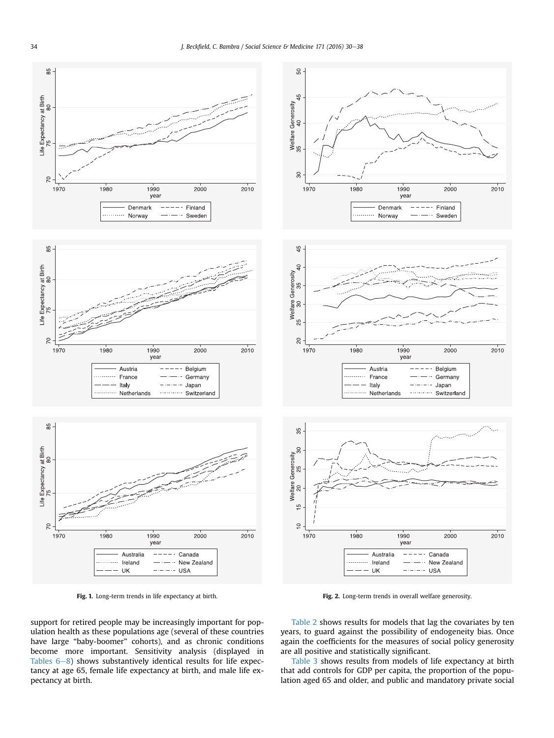<span id="page-4-0"></span>

50  $45$ Welfare Generosity<br>35 40  $\overline{30}$ 1970 1980 1990 2000 2010 vear Denmark  $-$ - Finland .......... Norway Sweden  $45$  $\overline{a}$ Welfare Generosity<br>
5 30 35 4 25  $\infty$  $2010$  $1980$  $1990$  $2000$ 1970 year Austria -- Belgium  $\cdot$  France - Germany  $-$  Italy  $-$  - Japan Netherlands ····· Switzerland 35 Welfare Generosity<br>20 25 30  $\frac{15}{2}$  $\overline{1}$ 1970 1980 1990 2000 2010 year -- Canada Australia .......... Ireland - - New Zealand UK  $-$  USA

Fig. 1. Long-term trends in life expectancy at birth. The state of the state of the state of Fig. 2. Long-term trends in overall welfare generosity.

support for retired people may be increasingly important for population health as these populations age (several of these countries have large "baby-boomer" cohorts), and as chronic conditions become more important. Sensitivity analysis (displayed in Tables  $6-8$ ) shows substantively identical results for life expectancy at age 65, female life expectancy at birth, and male life expectancy at birth.

[Table 2](#page-5-0) shows results for models that lag the covariates by ten years, to guard against the possibility of endogeneity bias. Once again the coefficients for the measures of social policy generosity are all positive and statistically significant.

[Table 3](#page-5-0) shows results from models of life expectancy at birth that add controls for GDP per capita, the proportion of the population aged 65 and older, and public and mandatory private social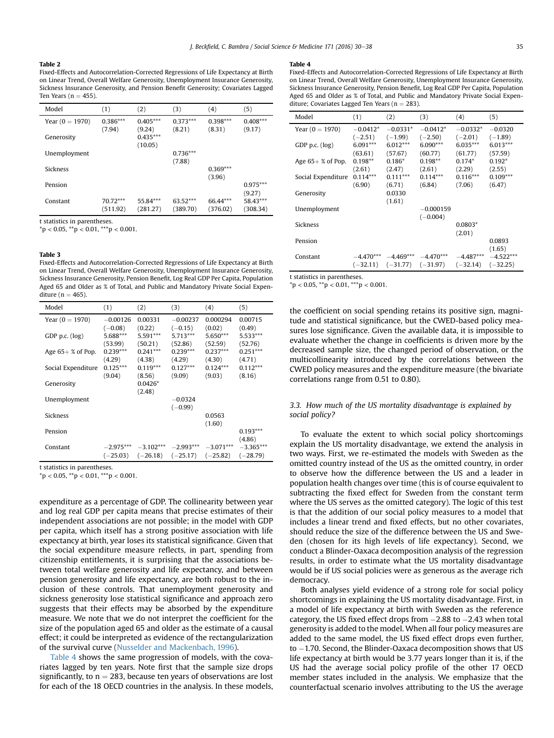#### <span id="page-5-0"></span>Table 2

Fixed-Effects and Autocorrelation-Corrected Regressions of Life Expectancy at Birth on Linear Trend, Overall Welfare Generosity, Unemployment Insurance Generosity, Sickness Insurance Generosity, and Pension Benefit Generosity; Covariates Lagged Ten Years ( $n = 455$ ).

| Model             | (1)                    | (2)                             | (3)                    | (4)                  | (5)                            |
|-------------------|------------------------|---------------------------------|------------------------|----------------------|--------------------------------|
| Year $(0 = 1970)$ | $0.386***$             | $0.405***$                      | $0.373***$             | $0.398***$           | $0.408***$                     |
| Generosity        | (7.94)                 | (9.24)<br>$0.435***$<br>(10.05) | (8.21)                 | (8.31)               | (9.17)                         |
| Unemployment      |                        |                                 | $0.736***$             |                      |                                |
|                   |                        |                                 | (7.88)                 |                      |                                |
| <b>Sickness</b>   |                        |                                 |                        | $0.369***$           |                                |
|                   |                        |                                 |                        | (3.96)               |                                |
| Pension           |                        |                                 |                        |                      | $0.975***$                     |
| Constant          | $70.72***$<br>(511.92) | 55.84***<br>(281.27)            | $63.52***$<br>(389.70) | 66.44***<br>(376.02) | (9.27)<br>58.43***<br>(308.34) |

t statistics in parentheses.

 $*_{p}$  < 0.05,  $*_{p}$  < 0.01,  $**_{p}$  < 0.001.

#### Table 3

Fixed-Effects and Autocorrelation-Corrected Regressions of Life Expectancy at Birth on Linear Trend, Overall Welfare Generosity, Unemployment Insurance Generosity, Sickness Insurance Generosity, Pension Benefit, Log Real GDP Per Capita, Population Aged 65 and Older as % of Total, and Public and Mandatory Private Social Expenditure ( $n = 465$ ).

| Model               | (1)                              | (2)                             | (3)                                | (4)                                                         | (5)                           |
|---------------------|----------------------------------|---------------------------------|------------------------------------|-------------------------------------------------------------|-------------------------------|
| Year $(0 = 1970)$   | $-0.00126$                       | 0.00331                         | $-0.00237$                         | 0.000294                                                    | 0.00715                       |
| GDP p.c. $(log)$    | $(-0.08)$<br>5.688***<br>(53.99) | (0.22)<br>$5.591***$<br>(50.21) | $(-0.15)$<br>$5.713***$<br>(52.86) | (0.02)<br>5.650***<br>(52.59)                               | (0.49)<br>5.533***<br>(52.76) |
| Age $65+$ % of Pop. | $0.239***$                       | $0.241***$                      | $0.239***$                         | $0.237***$                                                  | $0.251***$                    |
| Social Expenditure  | (4.29)<br>$0.125***$             | (4.38)<br>$0.119***$            | (4.29)<br>$0.127***$               | (4.30)<br>$0.124***$                                        | (4.71)<br>$0.112***$          |
| Generosity          | (9.04)                           | (8.56)<br>$0.0426*$<br>(2.48)   | (9.09)                             | (9.03)                                                      | (8.16)                        |
| Unemployment        |                                  |                                 | $-0.0324$                          |                                                             |                               |
| Sickness            |                                  |                                 | $(-0.99)$                          | 0.0563<br>(1.60)                                            |                               |
| Pension             |                                  |                                 |                                    |                                                             | $0.193***$<br>(4.86)          |
| Constant            | $-2.975***$<br>$(-25.03)$        | $-3.102***$                     |                                    | $-2.993***$ $-3.071***$<br>$(-26.18)$ $(-25.17)$ $(-25.82)$ | $-3.365***$<br>$(-28.79)$     |

t statistics in parentheses.

 $*$ p < 0.05,  $*$  $*$ p < 0.01,  $**$ p < 0.001.

expenditure as a percentage of GDP. The collinearity between year and log real GDP per capita means that precise estimates of their independent associations are not possible; in the model with GDP per capita, which itself has a strong positive association with life expectancy at birth, year loses its statistical significance. Given that the social expenditure measure reflects, in part, spending from citizenship entitlements, it is surprising that the associations between total welfare generosity and life expectancy, and between pension generosity and life expectancy, are both robust to the inclusion of these controls. That unemployment generosity and sickness generosity lose statistical significance and approach zero suggests that their effects may be absorbed by the expenditure measure. We note that we do not interpret the coefficient for the size of the population aged 65 and older as the estimate of a causal effect; it could be interpreted as evidence of the rectangularization of the survival curve ([Nusselder and Mackenbach, 1996\)](#page-8-0).

Table 4 shows the same progression of models, with the covariates lagged by ten years. Note first that the sample size drops significantly, to  $n = 283$ , because ten years of observations are lost for each of the 18 OECD countries in the analysis. In these models,

#### Table 4

Fixed-Effects and Autocorrelation-Corrected Regressions of Life Expectancy at Birth on Linear Trend, Overall Welfare Generosity, Unemployment Insurance Generosity, Sickness Insurance Generosity, Pension Benefit, Log Real GDP Per Capita, Population Aged 65 and Older as % of Total, and Public and Mandatory Private Social Expenditure; Covariates Lagged Ten Years ( $n = 283$ ).

| Model               | (1)         | (2)         | (3)                                         | (4)         | (5)         |
|---------------------|-------------|-------------|---------------------------------------------|-------------|-------------|
| Year $(0 = 1970)$   | $-0.0412*$  | $-0.0331*$  | $-0.0412*$                                  | $-0.0332*$  | $-0.0320$   |
|                     | $(-2.51)$   | $(-1.99)$   | $(-2.50)$                                   | $(-2.01)$   | $(-1.89)$   |
| GDP p.c. $(log)$    | $6.091***$  | $6.012***$  | $6.090***$                                  | $6.035***$  | $6.013***$  |
|                     | (63.61)     | (57.67)     | (60.77)                                     | (61.77)     | (57.59)     |
| Age $65+$ % of Pop. | $0.198**$   | $0.186*$    | $0.198**$                                   | $0.174*$    | $0.192*$    |
|                     | (2.61)      | (2.47)      | (2.61)                                      | (2.29)      | (2.55)      |
| Social Expenditure  | $0.114***$  | $0.111***$  | $0.114***$                                  | $0.116***$  | $0.109***$  |
|                     | (6.90)      | (6.71)      | (6.84)                                      | (7.06)      | (6.47)      |
| Generosity          |             | 0.0330      |                                             |             |             |
|                     |             | (1.61)      |                                             |             |             |
| Unemployment        |             |             | $-0.000159$                                 |             |             |
|                     |             |             | $(-0.004)$                                  |             |             |
| Sickness            |             |             |                                             | $0.0803*$   |             |
|                     |             |             |                                             | (2.01)      |             |
| Pension             |             |             |                                             |             | 0.0893      |
|                     |             |             |                                             |             | (1.65)      |
| Constant            | $-4.470***$ | $-4.469***$ | $-4.470***$                                 | $-4.487***$ | $-4.522***$ |
|                     |             |             | $(-32.11)$ $(-31.77)$ $(-31.97)$ $(-32.14)$ |             | $(-32.25)$  |
|                     |             |             |                                             |             |             |

t statistics in parentheses.

 $*$ p < 0.05,  $*$  $*$ p < 0.01,  $*$  $*$  $*$ p < 0.001.

the coefficient on social spending retains its positive sign, magnitude and statistical significance, but the CWED-based policy measures lose significance. Given the available data, it is impossible to evaluate whether the change in coefficients is driven more by the decreased sample size, the changed period of observation, or the multicollinearity introduced by the correlations between the CWED policy measures and the expenditure measure (the bivariate correlations range from 0.51 to 0.80).

## 3.3. How much of the US mortality disadvantage is explained by social policy?

To evaluate the extent to which social policy shortcomings explain the US mortality disadvantage, we extend the analysis in two ways. First, we re-estimated the models with Sweden as the omitted country instead of the US as the omitted country, in order to observe how the difference between the US and a leader in population health changes over time (this is of course equivalent to subtracting the fixed effect for Sweden from the constant term where the US serves as the omitted category). The logic of this test is that the addition of our social policy measures to a model that includes a linear trend and fixed effects, but no other covariates, should reduce the size of the difference between the US and Sweden (chosen for its high levels of life expectancy). Second, we conduct a Blinder-Oaxaca decomposition analysis of the regression results, in order to estimate what the US mortality disadvantage would be if US social policies were as generous as the average rich democracy.

Both analyses yield evidence of a strong role for social policy shortcomings in explaining the US mortality disadvantage. First, in a model of life expectancy at birth with Sweden as the reference category, the US fixed effect drops from  $-2.88$  to  $-2.43$  when total generosity is added to the model. When all four policy measures are added to the same model, the US fixed effect drops even further, to -1.70. Second, the Blinder-Oaxaca decomposition shows that US life expectancy at birth would be 3.77 years longer than it is, if the US had the average social policy profile of the other 17 OECD member states included in the analysis. We emphasize that the counterfactual scenario involves attributing to the US the average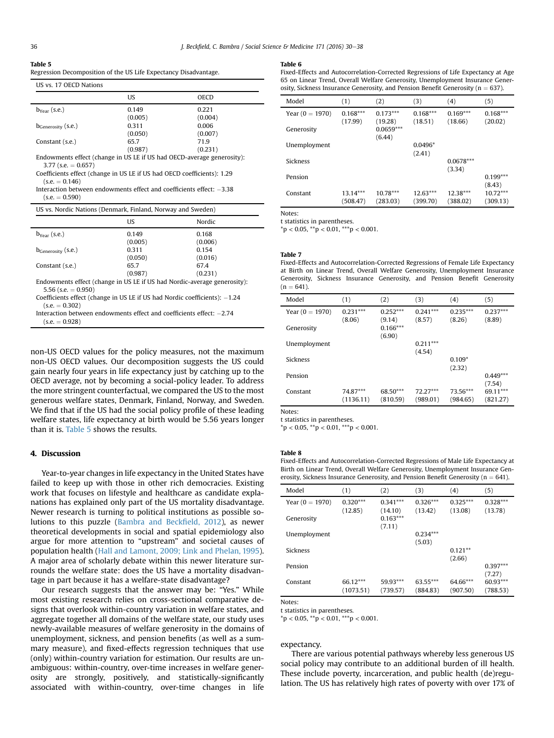#### <span id="page-6-0"></span>Table 5

| US vs. 17 OECD Nations         |                        |         |  |  |  |  |
|--------------------------------|------------------------|---------|--|--|--|--|
|                                | US                     | OECD    |  |  |  |  |
| $b_{\text{Year}}(s.e.)$        | 0.149                  | 0.221   |  |  |  |  |
|                                | (0.005)                | (0.004) |  |  |  |  |
| $b_{\text{Generosity}}$ (s.e.) | 0.311                  | 0.006   |  |  |  |  |
|                                | (0.050)                | (0.007) |  |  |  |  |
| Constant (s.e.)                | 65.7                   | 71.9    |  |  |  |  |
|                                | (0.987)                | (0.231) |  |  |  |  |
|                                | --- -- ---- - - - - -- | . .     |  |  |  |  |

Endowments effect (change in US LE if US had OECD-average generosity):  $3.77$  (s.e.  $= 0.657$ )

Coefficients effect (change in US LE if US had OECD coefficients): 1.29  $(s.e. = 0.146)$ 

| Interaction between endowments effect and coefficients effect: $-3.38$ |  |  |
|------------------------------------------------------------------------|--|--|
| $(s.e. = 0.590)$                                                       |  |  |

| US vs. Nordic Nations (Denmark, Finland, Norway and Sweden) |         |                                                                          |  |  |  |
|-------------------------------------------------------------|---------|--------------------------------------------------------------------------|--|--|--|
|                                                             | US      | Nordic                                                                   |  |  |  |
| $b_{\text{Year}}(s.e.)$                                     | 0.149   | 0.168                                                                    |  |  |  |
|                                                             | (0.005) | (0.006)                                                                  |  |  |  |
| $b_{\text{Generosity}}$ (s.e.)                              | 0.311   | 0.154                                                                    |  |  |  |
|                                                             | (0.050) | (0.016)                                                                  |  |  |  |
| Constant (s.e.)                                             | 65.7    | 67.4                                                                     |  |  |  |
|                                                             | (0.987) | (0.231)                                                                  |  |  |  |
|                                                             |         | Endowments effect (change in US LE if US had Nordic-average generosity): |  |  |  |

5.56 (s.e.  $= 0.950$ )

Coefficients effect (change in US LE if US had Nordic coefficients): -1.24  $(s.e. = 0.302)$ 

Interaction between endowments effect and coefficients effect: -2.74  $(s.e. = 0.928)$ 

non-US OECD values for the policy measures, not the maximum non-US OECD values. Our decomposition suggests the US could gain nearly four years in life expectancy just by catching up to the OECD average, not by becoming a social-policy leader. To address the more stringent counterfactual, we compared the US to the most generous welfare states, Denmark, Finland, Norway, and Sweden. We find that if the US had the social policy profile of these leading welfare states, life expectancy at birth would be 5.56 years longer than it is. Table 5 shows the results.

## 4. Discussion

Year-to-year changes in life expectancy in the United States have failed to keep up with those in other rich democracies. Existing work that focuses on lifestyle and healthcare as candidate explanations has explained only part of the US mortality disadvantage. Newer research is turning to political institutions as possible solutions to this puzzle ([Bambra and Beck](#page-7-0)field, 2012), as newer theoretical developments in social and spatial epidemiology also argue for more attention to "upstream" and societal causes of population health ([Hall and Lamont, 2009; Link and Phelan, 1995\)](#page-8-0). A major area of scholarly debate within this newer literature surrounds the welfare state: does the US have a mortality disadvantage in part because it has a welfare-state disadvantage?

Our research suggests that the answer may be: "Yes." While most existing research relies on cross-sectional comparative designs that overlook within-country variation in welfare states, and aggregate together all domains of the welfare state, our study uses newly-available measures of welfare generosity in the domains of unemployment, sickness, and pension benefits (as well as a summary measure), and fixed-effects regression techniques that use (only) within-country variation for estimation. Our results are unambiguous: within-country, over-time increases in welfare generosity are strongly, positively, and statistically-significantly associated with within-country, over-time changes in life

#### Table 6

Fixed-Effects and Autocorrelation-Corrected Regressions of Life Expectancy at Age 65 on Linear Trend, Overall Welfare Generosity, Unemployment Insurance Generosity, Sickness Insurance Generosity, and Pension Benefit Generosity ( $n = 637$ ).

| Model             | (1)        | (2)                              | (3)        | (4)         | (5)        |
|-------------------|------------|----------------------------------|------------|-------------|------------|
| Year $(0 = 1970)$ | $0.168***$ | $0.173***$                       | $0.168***$ | $0.169***$  | $0.168***$ |
| Generosity        | (17.99)    | (19.28)<br>$0.0659***$<br>(6.44) | (18.51)    | (18.66)     | (20.02)    |
| Unemployment      |            |                                  | $0.0496*$  |             |            |
|                   |            |                                  | (2.41)     |             |            |
| <b>Sickness</b>   |            |                                  |            | $0.0678***$ |            |
|                   |            |                                  |            | (3.34)      |            |
| Pension           |            |                                  |            |             | $0.199***$ |
|                   |            |                                  |            |             | (8.43)     |
| Constant          | $13.14***$ | $10.78***$                       | $12.63***$ | $12.38***$  | $10.72***$ |
|                   | (508.47)   | (283.03)                         | (399.70)   | (388.02)    | (309.13)   |

Notes:

t statistics in parentheses.

 $*$ p < 0.05,  $*$  $+$ p < 0.01,  $**$ p < 0.001.

#### Table 7

Fixed-Effects and Autocorrelation-Corrected Regressions of Female Life Expectancy at Birth on Linear Trend, Overall Welfare Generosity, Unemployment Insurance Generosity, Sickness Insurance Generosity, and Pension Benefit Generosity  $(n = 641)$ 

| Model             | (1)                   | (2)                            | (3)                    | (4)                    | (5)                            |
|-------------------|-----------------------|--------------------------------|------------------------|------------------------|--------------------------------|
| Year $(0 = 1970)$ | $0.231***$            | $0.252***$                     | $0.241***$             | $0.235***$             | $0.237***$                     |
| Generosity        | (8.06)                | (9.14)<br>$0.166***$<br>(6.90) | (8.57)                 | (8.26)                 | (8.89)                         |
| Unemployment      |                       |                                | $0.211***$             |                        |                                |
|                   |                       |                                | (4.54)                 |                        |                                |
| <b>Sickness</b>   |                       |                                |                        | $0.109*$               |                                |
|                   |                       |                                |                        | (2.32)                 |                                |
| Pension           |                       |                                |                        |                        | $0.449***$                     |
| Constant          | 74.87***<br>(1136.11) | 68.50***<br>(810.59)           | $72.27***$<br>(989.01) | $73.56***$<br>(984.65) | (7.54)<br>69.11***<br>(821.27) |

Notes:

t statistics in parentheses.

 $*p < 0.05$ ,  $*p < 0.01$ ,  $**p < 0.001$ .

#### Table 8

Fixed-Effects and Autocorrelation-Corrected Regressions of Male Life Expectancy at Birth on Linear Trend, Overall Welfare Generosity, Unemployment Insurance Generosity, Sickness Insurance Generosity, and Pension Benefit Generosity ( $n = 641$ ).

| Model             | (1)                   | (2)                             | (3)                    | (4)                  | (5)                    |
|-------------------|-----------------------|---------------------------------|------------------------|----------------------|------------------------|
| Year $(0 = 1970)$ | $0.320***$            | $0.341***$                      | $0.326***$             | $0.325***$           | $0.328***$             |
| Generosity        | (12.85)               | (14.10)<br>$0.163***$<br>(7.11) | (13.42)                | (13.08)              | (13.78)                |
| Unemployment      |                       |                                 | $0.234***$             |                      |                        |
|                   |                       |                                 | (5.03)                 |                      |                        |
| <b>Sickness</b>   |                       |                                 |                        | $0.121**$            |                        |
| Pension           |                       |                                 |                        | (2.66)               | $0.397***$             |
|                   |                       |                                 |                        |                      | (7.27)                 |
| Constant          | 66.12***<br>(1073.51) | 59.93***<br>(739.57)            | $63.55***$<br>(884.83) | 64.66***<br>(907.50) | $60.93***$<br>(788.53) |

Notes:

t statistics in parentheses.

 $*<sub>p</sub> < 0.05, **<sub>p</sub> < 0.01, **<sub>p</sub> < 0.001.$ 

#### expectancy.

There are various potential pathways whereby less generous US social policy may contribute to an additional burden of ill health. These include poverty, incarceration, and public health (de)regulation. The US has relatively high rates of poverty with over 17% of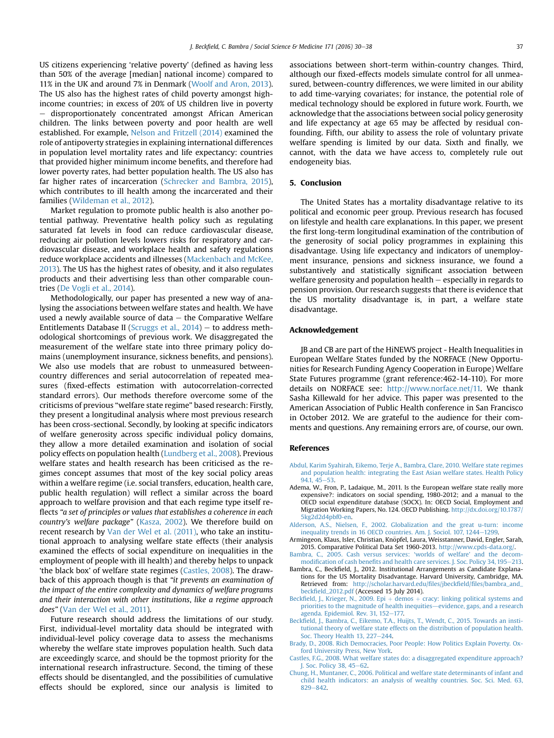<span id="page-7-0"></span>US citizens experiencing 'relative poverty' (defined as having less than 50% of the average [median] national income) compared to 11% in the UK and around 7% in Denmark ([Woolf and Aron, 2013\)](#page-8-0). The US also has the highest rates of child poverty amongst highincome countries; in excess of 20% of US children live in poverty disproportionately concentrated amongst African American children. The links between poverty and poor health are well established. For example, [Nelson and Fritzell \(2014\)](#page-8-0) examined the role of antipoverty strategies in explaining international differences in population level mortality rates and life expectancy: countries that provided higher minimum income benefits, and therefore had lower poverty rates, had better population health. The US also has far higher rates of incarceration [\(Schrecker and Bambra, 2015\)](#page-8-0), which contributes to ill health among the incarcerated and their families ([Wildeman et al., 2012\)](#page-8-0).

Market regulation to promote public health is also another potential pathway. Preventative health policy such as regulating saturated fat levels in food can reduce cardiovascular disease, reducing air pollution levels lowers risks for respiratory and cardiovascular disease, and workplace health and safety regulations reduce workplace accidents and illnesses ([Mackenbach and McKee,](#page-8-0) [2013\)](#page-8-0). The US has the highest rates of obesity, and it also regulates products and their advertising less than other comparable countries ([De Vogli et al., 2014](#page-8-0)).

Methodologically, our paper has presented a new way of analysing the associations between welfare states and health. We have used a newly available source of data  $-$  the Comparative Welfare Entitlements Database II (Scruggs et al.,  $2014$ ) – to address methodological shortcomings of previous work. We disaggregated the measurement of the welfare state into three primary policy domains (unemployment insurance, sickness benefits, and pensions). We also use models that are robust to unmeasured betweencountry differences and serial autocorrelation of repeated measures (fixed-effects estimation with autocorrelation-corrected standard errors). Our methods therefore overcome some of the criticisms of previous "welfare state regime" based research: Firstly, they present a longitudinal analysis where most previous research has been cross-sectional. Secondly, by looking at specific indicators of welfare generosity across specific individual policy domains, they allow a more detailed examination and isolation of social policy effects on population health [\(Lundberg et al., 2008](#page-8-0)). Previous welfare states and health research has been criticised as the regimes concept assumes that most of the key social policy areas within a welfare regime (i.e. social transfers, education, health care, public health regulation) will reflect a similar across the board approach to welfare provision and that each regime type itself reflects "a set of principles or values that establishes a coherence in each country's welfare package" [\(Kasza, 2002\)](#page-8-0). We therefore build on recent research by [Van der Wel et al. \(2011\)](#page-8-0), who take an institutional approach to analysing welfare state effects (their analysis examined the effects of social expenditure on inequalities in the employment of people with ill health) and thereby helps to unpack 'the black box' of welfare state regimes (Castles, 2008). The drawback of this approach though is that "it prevents an examination of the impact of the entire complexity and dynamics of welfare programs and their interaction with other institutions, like a regime approach does" ([Van der Wel et al., 2011\)](#page-8-0).

Future research should address the limitations of our study. First, individual-level mortality data should be integrated with individual-level policy coverage data to assess the mechanisms whereby the welfare state improves population health. Such data are exceedingly scarce, and should be the topmost priority for the international research infrastructure. Second, the timing of these effects should be disentangled, and the possibilities of cumulative effects should be explored, since our analysis is limited to associations between short-term within-country changes. Third, although our fixed-effects models simulate control for all unmeasured, between-country differences, we were limited in our ability to add time-varying covariates; for instance, the potential role of medical technology should be explored in future work. Fourth, we acknowledge that the associations between social policy generosity and life expectancy at age 65 may be affected by residual confounding. Fifth, our ability to assess the role of voluntary private welfare spending is limited by our data. Sixth and finally, we cannot, with the data we have access to, completely rule out endogeneity bias.

## 5. Conclusion

The United States has a mortality disadvantage relative to its political and economic peer group. Previous research has focused on lifestyle and health care explanations. In this paper, we present the first long-term longitudinal examination of the contribution of the generosity of social policy programmes in explaining this disadvantage. Using life expectancy and indicators of unemployment insurance, pensions and sickness insurance, we found a substantively and statistically significant association between welfare generosity and population health  $-$  especially in regards to pension provision. Our research suggests that there is evidence that the US mortality disadvantage is, in part, a welfare state disadvantage.

#### Acknowledgement

JB and CB are part of the HiNEWS project - Health Inequalities in European Welfare States funded by the NORFACE (New Opportunities for Research Funding Agency Cooperation in Europe) Welfare State Futures programme (grant reference:462-14-110). For more details on NORFACE see: [http://www.norface.net/11.](http://www.norface.net/11) We thank Sasha Killewald for her advice. This paper was presented to the American Association of Public Health conference in San Francisco in October 2012. We are grateful to the audience for their comments and questions. Any remaining errors are, of course, our own.

#### References

- [Abdul, Karim Syahirah, Eikemo, Terje A., Bambra, Clare, 2010. Welfare state regimes](http://refhub.elsevier.com/S0277-9536(16)30585-8/sref1) [and population health: integrating the East Asian welfare states. Health Policy](http://refhub.elsevier.com/S0277-9536(16)30585-8/sref1)  $94.1, 45 - 53$  $94.1, 45 - 53$  $94.1, 45 - 53$
- Adema, W., Fron, P., Ladaique, M., 2011. Is the European welfare state really more expensive?: indicators on social spending, 1980-2012; and a manual to the OECD social expenditure database (SOCX). In: OECD Social, Employment and Migration Working Papers, No. 124. OECD Publishing. [http://dx.doi.org/10.1787/](http://dx.doi.org/10.1787/5kg2d2d4pbf0-en) [5kg2d2d4pbf0-en.](http://dx.doi.org/10.1787/5kg2d2d4pbf0-en)
- [Alderson, A.S., Nielsen, F., 2002. Globalization and the great u-turn: income](http://refhub.elsevier.com/S0277-9536(16)30585-8/sref3) inequality trends in 16 OECD countries. Am. I. Sociol. 107, 1244-[1299](http://refhub.elsevier.com/S0277-9536(16)30585-8/sref3).
- Armingeon, Klaus, Isler, Christian, Knöpfel, Laura, Weisstanner, David, Engler, Sarah, 2015. Comparative Political Data Set 1960-2013. <http://www.cpds-data.org/>.
- [Bambra, C., 2005. Cash versus services:](http://refhub.elsevier.com/S0277-9536(16)30585-8/sref5) 'worlds of welfare' and the decommodification of cash benefi[ts and health care services. J. Soc. Policy 34, 195](http://refhub.elsevier.com/S0277-9536(16)30585-8/sref5)-[213](http://refhub.elsevier.com/S0277-9536(16)30585-8/sref5).
- Bambra, C., Beckfield, J., 2012. Institutional Arrangements as Candidate Explanations for the US Mortality Disadvantage. Harvard University, Cambridge, MA. Retrieved from: [http://scholar.harvard.edu/](http://scholar.harvard.edu/files/jbeckfield/files/bambra_and_beckfield_2012.pdf)files/jbeckfield/files/bambra\_and\_ beckfi[eld\\_2012.pdf](http://scholar.harvard.edu/files/jbeckfield/files/bambra_and_beckfield_2012.pdf) (Accessed 15 July 2014).
- Beckfi[eld, J., Krieger, N., 2009. Epi](http://refhub.elsevier.com/S0277-9536(16)30585-8/sref8)  $+$  [demos](http://refhub.elsevier.com/S0277-9536(16)30585-8/sref8)  $+$  [cracy: linking political systems and](http://refhub.elsevier.com/S0277-9536(16)30585-8/sref8) [priorities to the magnitude of health inequities](http://refhub.elsevier.com/S0277-9536(16)30585-8/sref8)—[evidence, gaps, and a research](http://refhub.elsevier.com/S0277-9536(16)30585-8/sref8) [agenda. Epidemiol. Rev. 31, 152](http://refhub.elsevier.com/S0277-9536(16)30585-8/sref8)-[177.](http://refhub.elsevier.com/S0277-9536(16)30585-8/sref8)
- Beckfi[eld, J., Bambra, C., Eikemo, T.A., Huijts, T., Wendt, C., 2015. Towards an insti](http://refhub.elsevier.com/S0277-9536(16)30585-8/sref9)[tutional theory of welfare state effects on the distribution of population health.](http://refhub.elsevier.com/S0277-9536(16)30585-8/sref9) [Soc. Theory Health 13, 227](http://refhub.elsevier.com/S0277-9536(16)30585-8/sref9)-[244.](http://refhub.elsevier.com/S0277-9536(16)30585-8/sref9)
- [Brady, D., 2008. Rich Democracies, Poor People: How Politics Explain Poverty. Ox](http://refhub.elsevier.com/S0277-9536(16)30585-8/sref10)[ford University Press, New York](http://refhub.elsevier.com/S0277-9536(16)30585-8/sref10).
- [Castles, F.G., 2008. What welfare states do: a disaggregated expenditure approach?](http://refhub.elsevier.com/S0277-9536(16)30585-8/sref11) [J. Soc. Policy 38, 45](http://refhub.elsevier.com/S0277-9536(16)30585-8/sref11)-[62.](http://refhub.elsevier.com/S0277-9536(16)30585-8/sref11)
- [Chung, H., Muntaner, C., 2006. Political and welfare state determinants of infant and](http://refhub.elsevier.com/S0277-9536(16)30585-8/sref12) [child health indicators: an analysis of wealthy countries. Soc. Sci. Med. 63,](http://refhub.elsevier.com/S0277-9536(16)30585-8/sref12) [829](http://refhub.elsevier.com/S0277-9536(16)30585-8/sref12)-[842](http://refhub.elsevier.com/S0277-9536(16)30585-8/sref12).